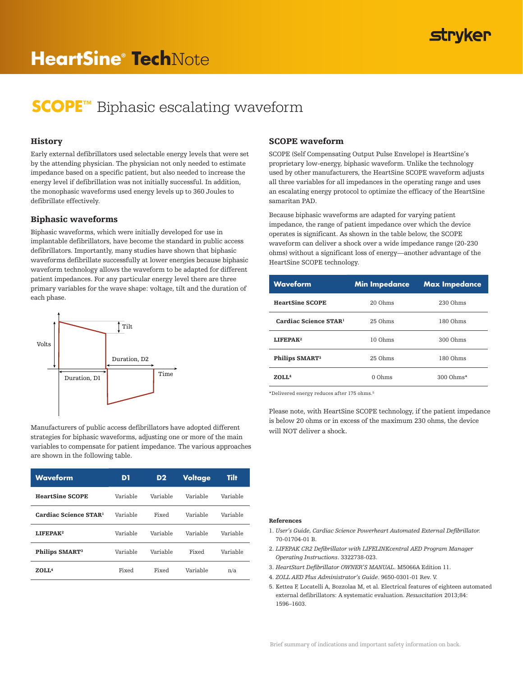## **stryker**

# **HeartSine® Tech**Note

## **SCOPE™** Biphasic escalating waveform

### **History**

Early external defibrillators used selectable energy levels that were set by the attending physician. The physician not only needed to estimate impedance based on a specific patient, but also needed to increase the energy level if defibrillation was not initially successful. In addition, the monophasic waveforms used energy levels up to 360 Joules to defibrillate effectively.

#### Biphasic waveforms

Biphasic waveforms, which were initially developed for use in implantable defibrillators, have become the standard in public access defibrillators. Importantly, many studies have shown that biphasic waveforms defibrillate successfully at lower energies because biphasic waveform technology allows the waveform to be adapted for different patient impedances. For any particular energy level there are three primary variables for the wave shape: voltage, tilt and the duration of each phase.



Manufacturers of public access defibrillators have adopted different strategies for biphasic waveforms, adjusting one or more of the main variables to compensate for patient impedance. The various approaches are shown in the following table.

| <b>Waveform</b>              | D1       | D <sub>2</sub> | Voltage  | Tilt     |
|------------------------------|----------|----------------|----------|----------|
| <b>HeartSine SCOPE</b>       | Variable | Variable       | Variable | Variable |
| <b>Cardiac Science STAR1</b> | Variable | Fixed          | Variable | Variable |
| I.IFFPAK <sup>2</sup>        | Variable | Variable       | Variable | Variable |
| Philips SMART <sup>3</sup>   | Variable | Variable       | Fixed    | Variable |
| ZOLL <sup>4</sup>            | Fixed    | Fixed          | Variable | n/a      |

### SCOPE waveform

SCOPE (Self Compensating Output Pulse Envelope) is HeartSine's proprietary low-energy, biphasic waveform. Unlike the technology used by other manufacturers, the HeartSine SCOPE waveform adjusts all three variables for all impedances in the operating range and uses an escalating energy protocol to optimize the efficacy of the HeartSine samaritan PAD.

Because biphasic waveforms are adapted for varying patient impedance, the range of patient impedance over which the device operates is significant. As shown in the table below, the SCOPE waveform can deliver a shock over a wide impedance range (20-230 ohms) without a significant loss of energy—another advantage of the HeartSine SCOPE technology.

| <b>Waveform</b>            | <b>Min Impedance</b> | <b>Max Impedance</b> |  |
|----------------------------|----------------------|----------------------|--|
| <b>HeartSine SCOPE</b>     | 20 Ohms              | 230 Ohms             |  |
| Cardiac Science STAR!      | 25 Ohms              | 180 Ohms             |  |
| <b>LIFFPAK2</b>            | 10 Ohms              | 300 Ohms             |  |
| Philips SMART <sup>3</sup> | $25$ Ohms            | 180 Ohms             |  |
| $Z$ OLL <sup>4</sup>       | $0$ Ohms             | 300 Ohms*            |  |

\*Delivered energy reduces after 175 ohms.5

Please note, with HeartSine SCOPE technology, if the patient impedance is below 20 ohms or in excess of the maximum 230 ohms, the device will NOT deliver a shock.

#### References

- 1. *User's Guide, Cardiac Science Powerheart Automated External Defibrillator.* 70-01704-01 B.
- 2. *LIFEPAK CR2 Defibrillator with LIFELINKcentral AED Program Manager Operating Instructions*. 3322738-023.
- 3. *HeartStart Defibrillator OWNER'S MANUAL*. M5066A Edition 11.
- 4. *ZOLL AED Plus Administrator's Guide*. 9650-0301-01 Rev. V.
- 5. Kettea F, Locatelli A, Bozzolaa M, et al. Electrical features of eighteen automated external defibrillators: A systematic evaluation. *Resuscitation* 2013;84: 1596–1603.